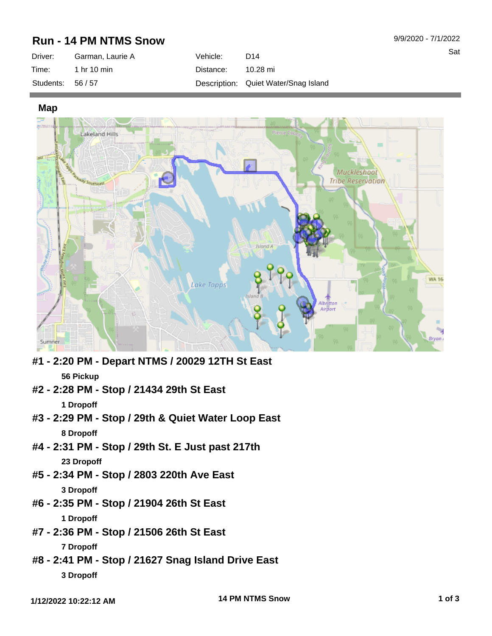## **Run - 14 PM NTMS Snow**

| Driver:         | Garman, Laurie A | Vehicle:  | D14                                  |
|-----------------|------------------|-----------|--------------------------------------|
| Time:           | 1 hr 10 min      | Distance: | 10.28 mi                             |
| Students: 56/57 |                  |           | Description: Quiet Water/Snag Island |

**Map**



- **#1 2:20 PM Depart NTMS / 20029 12TH St East 56 Pickup**
- **#2 2:28 PM Stop / 21434 29th St East**

**1 Dropoff**

- **#3 2:29 PM Stop / 29th & Quiet Water Loop East 8 Dropoff**
- **#4 2:31 PM Stop / 29th St. E Just past 217th 23 Dropoff**
- **#5 2:34 PM Stop / 2803 220th Ave East 3 Dropoff**
- **#6 2:35 PM Stop / 21904 26th St East 1 Dropoff**
- **#7 2:36 PM Stop / 21506 26th St East**

**7 Dropoff**

**#8 - 2:41 PM - Stop / 21627 Snag Island Drive East 3 Dropoff**